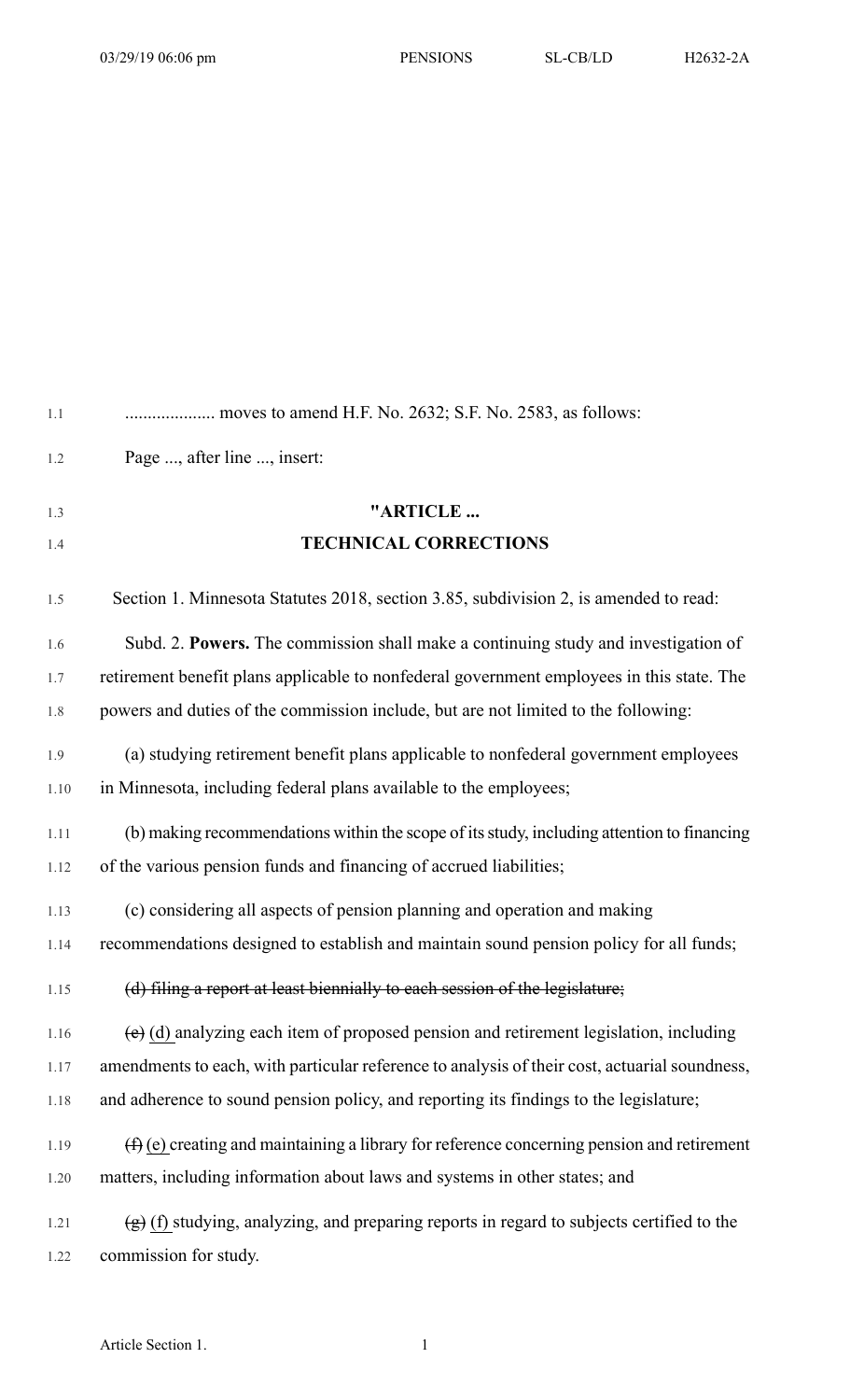| 1.1  |                                                                                               |
|------|-----------------------------------------------------------------------------------------------|
| 1.2  | Page , after line , insert:                                                                   |
| 1.3  | "ARTICLE                                                                                      |
| 1.4  | <b>TECHNICAL CORRECTIONS</b>                                                                  |
| 1.5  | Section 1. Minnesota Statutes 2018, section 3.85, subdivision 2, is amended to read:          |
| 1.6  | Subd. 2. Powers. The commission shall make a continuing study and investigation of            |
| 1.7  | retirement benefit plans applicable to nonfederal government employees in this state. The     |
| 1.8  | powers and duties of the commission include, but are not limited to the following:            |
| 1.9  | (a) studying retirement benefit plans applicable to nonfederal government employees           |
| 1.10 | in Minnesota, including federal plans available to the employees;                             |
| 1.11 | (b) making recommendations within the scope of its study, including attention to financing    |
| 1.12 | of the various pension funds and financing of accrued liabilities;                            |
| 1.13 | (c) considering all aspects of pension planning and operation and making                      |
| 1.14 | recommendations designed to establish and maintain sound pension policy for all funds;        |
| 1.15 | (d) filing a report at least biennially to each session of the legislature;                   |
| 1.16 | $(e)$ (d) analyzing each item of proposed pension and retirement legislation, including       |
| 1.17 | amendments to each, with particular reference to analysis of their cost, actuarial soundness, |
| 1.18 | and adherence to sound pension policy, and reporting its findings to the legislature;         |
| 1.19 | $(f)$ (e) creating and maintaining a library for reference concerning pension and retirement  |
| 1.20 | matters, including information about laws and systems in other states; and                    |
| 1.21 | $(g)$ (f) studying, analyzing, and preparing reports in regard to subjects certified to the   |
| 1.22 | commission for study.                                                                         |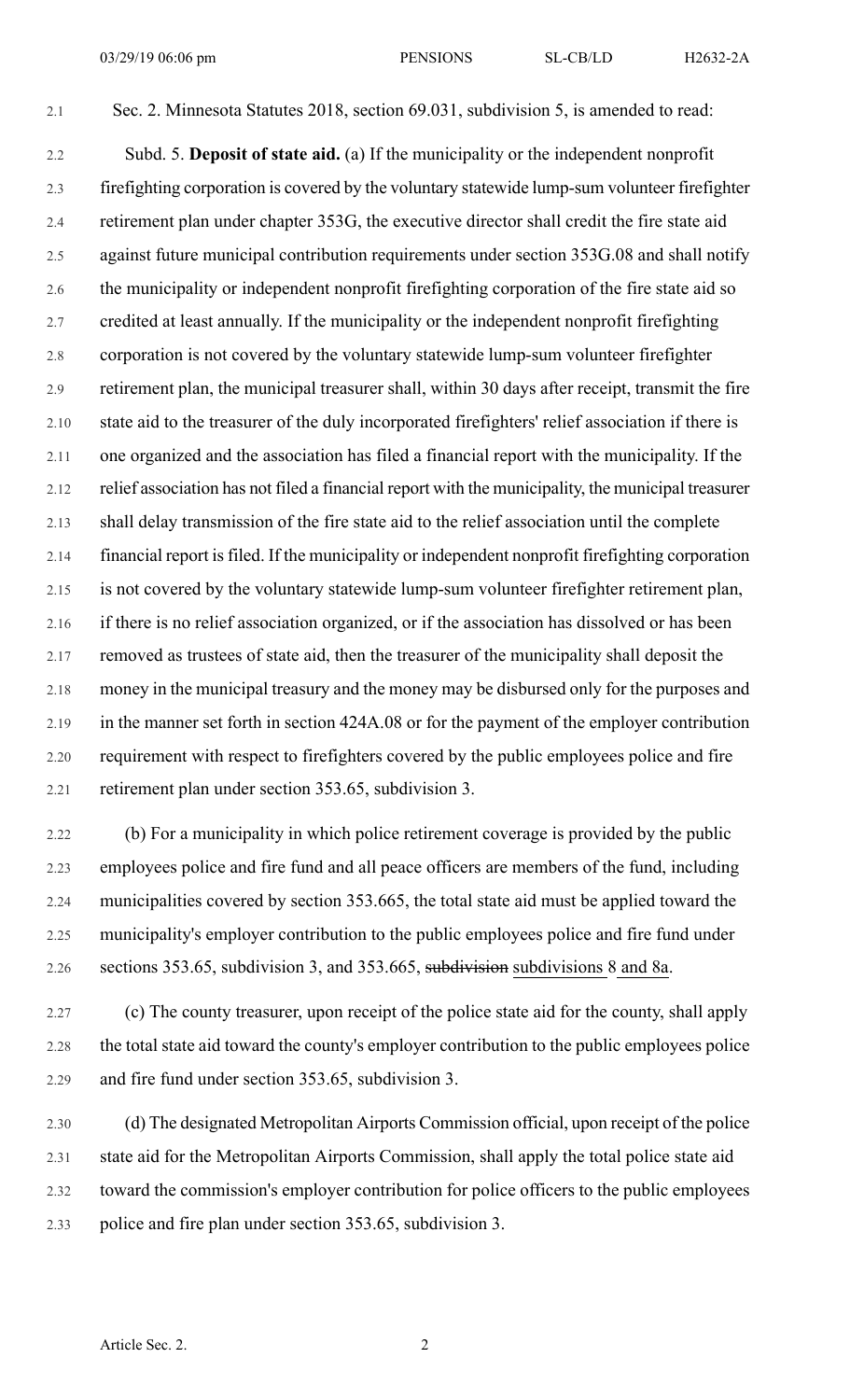2.1 Sec. 2. Minnesota Statutes 2018, section 69.031, subdivision 5, is amended to read:

2.2 Subd. 5. **Deposit of state aid.** (a) If the municipality or the independent nonprofit 2.3 firefighting corporation is covered by the voluntary statewide lump-sum volunteer firefighter 2.4 retirement plan under chapter 353G, the executive director shall credit the fire state aid 2.5 against future municipal contribution requirements under section 353G.08 and shall notify 2.6 the municipality or independent nonprofit firefighting corporation of the fire state aid so 2.7 credited at least annually. If the municipality or the independent nonprofit firefighting 2.8 corporation is not covered by the voluntary statewide lump-sum volunteer firefighter 2.9 retirement plan, the municipal treasurer shall, within 30 days after receipt, transmit the fire 2.10 state aid to the treasurer of the duly incorporated firefighters' relief association if there is 2.11 one organized and the association has filed a financial report with the municipality. If the 2.12 relief association has not filed a financial report with the municipality, the municipal treasurer 2.13 shall delay transmission of the fire state aid to the relief association until the complete 2.14 financial report is filed. If the municipality or independent nonprofit firefighting corporation 2.15 is not covered by the voluntary statewide lump-sum volunteer firefighter retirement plan, 2.16 if there is no relief association organized, or if the association has dissolved or has been 2.17 removed as trustees of state aid, then the treasurer of the municipality shall deposit the 2.18 money in the municipal treasury and the money may be disbursed only for the purposes and 2.19 in the manner set forth in section 424A.08 or for the payment of the employer contribution 2.20 requirement with respect to firefighters covered by the public employees police and fire 2.21 retirement plan under section 353.65, subdivision 3.

2.22 (b) For a municipality in which police retirement coverage is provided by the public 2.23 employees police and fire fund and all peace officers are members of the fund, including 2.24 municipalities covered by section 353.665, the total state aid must be applied toward the 2.25 municipality's employer contribution to the public employees police and fire fund under 2.26 sections 353.65, subdivision 3, and 353.665, subdivision subdivisions 8 and 8a.

2.27 (c) The county treasurer, upon receipt of the police state aid for the county, shall apply 2.28 the total state aid toward the county's employer contribution to the public employees police 2.29 and fire fund under section 353.65, subdivision 3.

2.30 (d) The designated Metropolitan Airports Commission official, upon receipt of the police 2.31 state aid for the Metropolitan Airports Commission, shall apply the total police state aid 2.32 toward the commission's employer contribution for police officers to the public employees 2.33 police and fire plan under section 353.65, subdivision 3.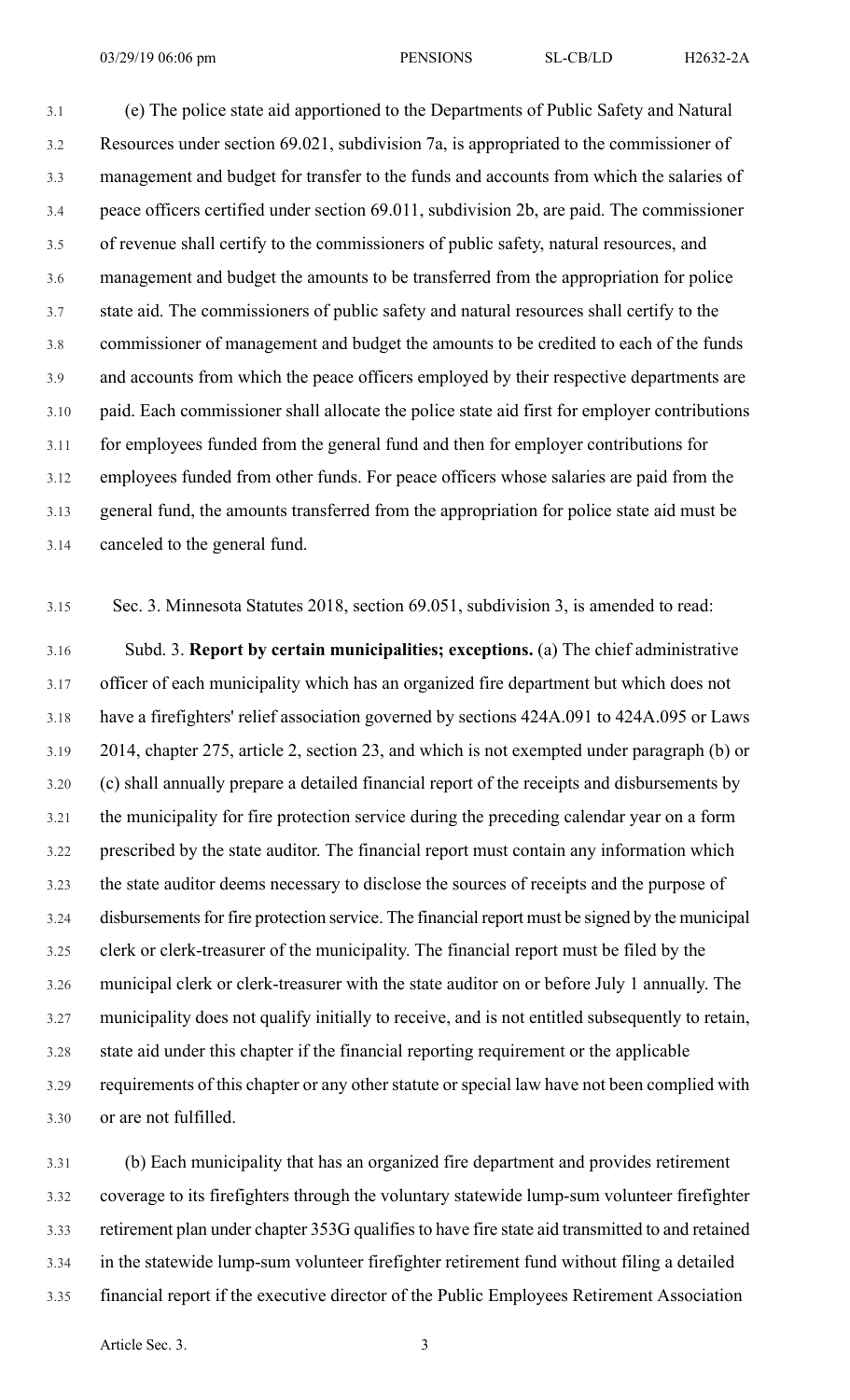3.1 (e) The police state aid apportioned to the Departments of Public Safety and Natural 3.2 Resources under section 69.021, subdivision 7a, is appropriated to the commissioner of 3.3 management and budget for transfer to the funds and accounts from which the salaries of 3.4 peace officers certified under section 69.011, subdivision 2b, are paid. The commissioner 3.5 of revenue shall certify to the commissioners of public safety, natural resources, and 3.6 management and budget the amounts to be transferred from the appropriation for police 3.7 state aid. The commissioners of public safety and natural resources shall certify to the 3.8 commissioner of management and budget the amounts to be credited to each of the funds 3.9 and accounts from which the peace officers employed by their respective departments are 3.10 paid. Each commissioner shall allocate the police state aid first for employer contributions 3.11 for employees funded from the general fund and then for employer contributions for 3.12 employees funded from other funds. For peace officers whose salaries are paid from the 3.13 general fund, the amounts transferred from the appropriation for police state aid must be 3.14 canceled to the general fund.

3.15 Sec. 3. Minnesota Statutes 2018, section 69.051, subdivision 3, is amended to read:

3.16 Subd. 3. **Report by certain municipalities; exceptions.** (a) The chief administrative 3.17 officer of each municipality which has an organized fire department but which does not 3.18 have a firefighters' relief association governed by sections 424A.091 to 424A.095 or Laws 3.19 2014, chapter 275, article 2, section 23, and which is not exempted under paragraph (b) or 3.20 (c) shall annually prepare a detailed financial report of the receipts and disbursements by 3.21 the municipality for fire protection service during the preceding calendar year on a form 3.22 prescribed by the state auditor. The financial report must contain any information which 3.23 the state auditor deems necessary to disclose the sources of receipts and the purpose of 3.24 disbursements for fire protection service. The financial report must be signed by the municipal 3.25 clerk or clerk-treasurer of the municipality. The financial report must be filed by the 3.26 municipal clerk or clerk-treasurer with the state auditor on or before July 1 annually. The 3.27 municipality does not qualify initially to receive, and is not entitled subsequently to retain, 3.28 state aid under this chapter if the financial reporting requirement or the applicable 3.29 requirements of this chapter or any other statute or special law have not been complied with 3.30 or are not fulfilled.

3.31 (b) Each municipality that has an organized fire department and provides retirement 3.32 coverage to its firefighters through the voluntary statewide lump-sum volunteer firefighter 3.33 retirement plan under chapter 353G qualifiesto have fire state aid transmitted to and retained 3.34 in the statewide lump-sum volunteer firefighter retirement fund without filing a detailed 3.35 financial report if the executive director of the Public Employees Retirement Association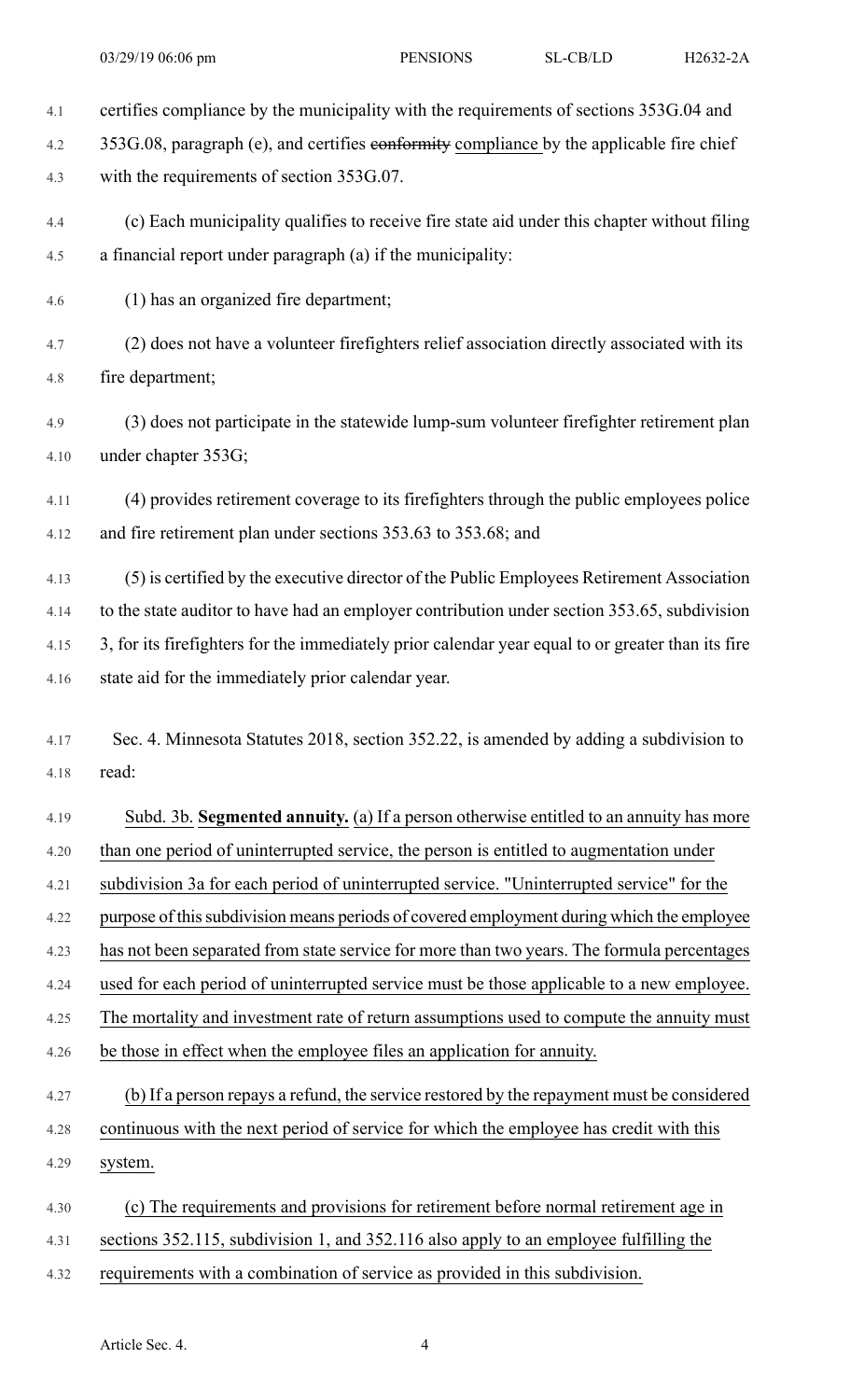4.1 certifies compliance by the municipality with the requirements of sections 353G.04 and

4.2 353G.08, paragraph (e), and certifies conformity compliance by the applicable fire chief

4.3 with the requirements of section 353G.07.

4.4 (c) Each municipality qualifies to receive fire state aid under this chapter without filing 4.5 a financial report under paragraph (a) if the municipality:

4.6 (1) has an organized fire department;

4.7 (2) does not have a volunteer firefighters relief association directly associated with its 4.8 fire department;

4.9 (3) does not participate in the statewide lump-sum volunteer firefighter retirement plan 4.10 under chapter 353G;

4.11 (4) provides retirement coverage to its firefighters through the public employees police 4.12 and fire retirement plan under sections 353.63 to 353.68; and

4.13 (5) is certified by the executive director of the Public Employees Retirement Association 4.14 to the state auditor to have had an employer contribution under section 353.65, subdivision 4.15 3, for its firefighters for the immediately prior calendar year equal to or greater than its fire 4.16 state aid for the immediately prior calendar year.

4.17 Sec. 4. Minnesota Statutes 2018, section 352.22, is amended by adding a subdivision to 4.18 read:

4.19 Subd. 3b. **Segmented annuity.** (a) If a person otherwise entitled to an annuity has more 4.20 than one period of uninterrupted service, the person is entitled to augmentation under 4.21 subdivision 3a for each period of uninterrupted service. "Uninterrupted service" for the

4.22 purpose of thissubdivision means periods of covered employment during which the employee

4.23 has not been separated from state service for more than two years. The formula percentages

4.24 used for each period of uninterrupted service must be those applicable to a new employee.

4.25 The mortality and investment rate of return assumptions used to compute the annuity must

4.26 be those in effect when the employee files an application for annuity.

4.27 (b) If a person repays a refund, the service restored by the repayment must be considered 4.28 continuous with the next period of service for which the employee has credit with this 4.29 system.

4.30 (c) The requirements and provisions for retirement before normal retirement age in 4.31 sections 352.115, subdivision 1, and 352.116 also apply to an employee fulfilling the 4.32 requirements with a combination of service as provided in this subdivision.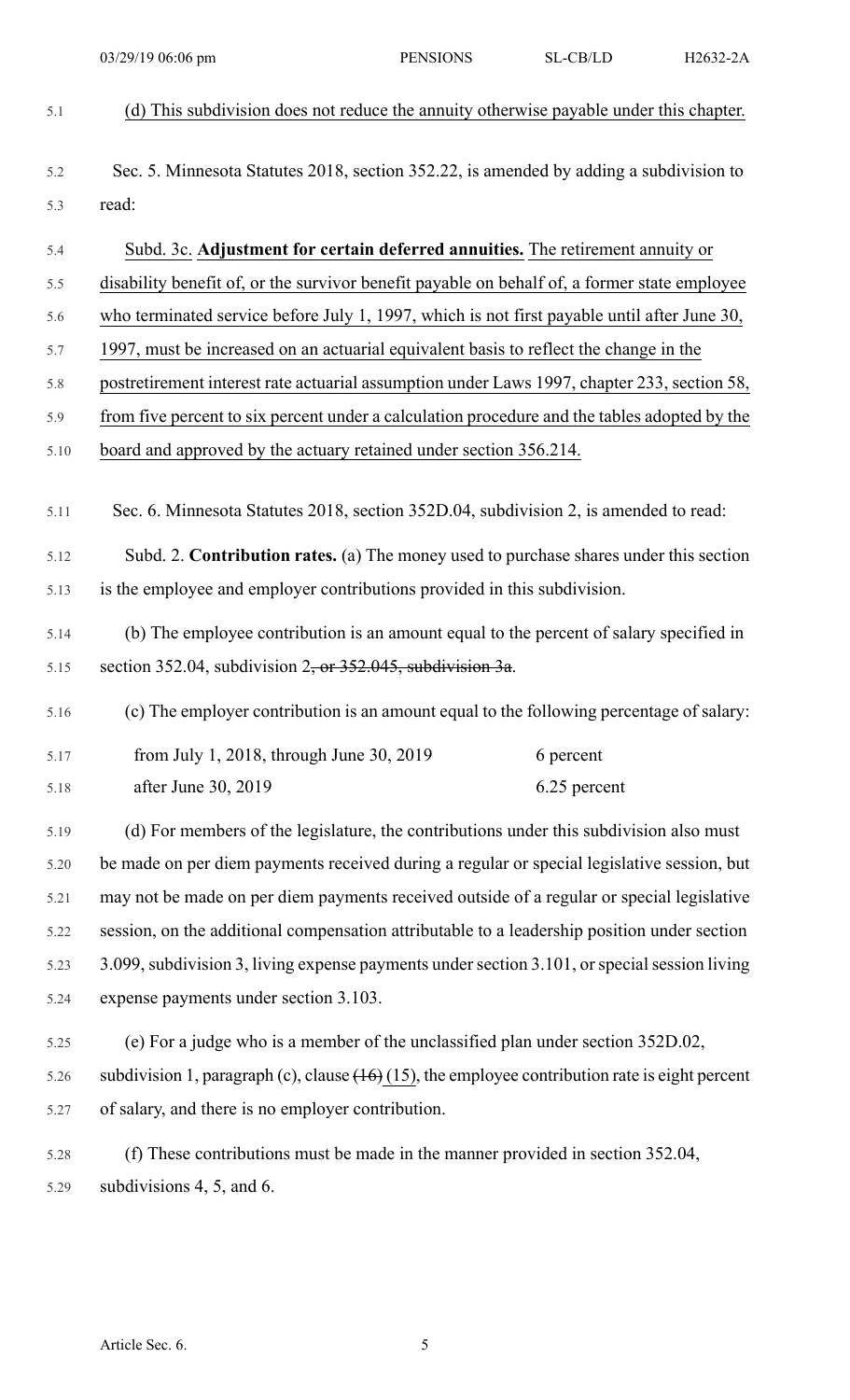5.1 (d) This subdivision does not reduce the annuity otherwise payable under this chapter. 5.2 Sec. 5. Minnesota Statutes 2018, section 352.22, is amended by adding a subdivision to 5.3 read: 5.4 Subd. 3c. **Adjustment for certain deferred annuities.** The retirement annuity or 5.5 disability benefit of, or the survivor benefit payable on behalf of, a former state employee 5.6 who terminated service before July 1, 1997, which is not first payable until after June 30, 5.7 1997, must be increased on an actuarial equivalent basis to reflect the change in the 5.8 postretirement interest rate actuarial assumption under Laws 1997, chapter 233, section 58, 5.9 from five percent to six percent under a calculation procedure and the tables adopted by the 5.10 board and approved by the actuary retained under section 356.214. 5.11 Sec. 6. Minnesota Statutes 2018, section 352D.04, subdivision 2, is amended to read: 5.12 Subd. 2. **Contribution rates.** (a) The money used to purchase shares under this section 5.13 is the employee and employer contributions provided in this subdivision. 5.14 (b) The employee contribution is an amount equal to the percent of salary specified in 5.15 section 352.04, subdivision  $2$ , or  $352.045$ , subdivision  $3a$ . 5.16 (c) The employer contribution is an amount equal to the following percentage of salary: 5.17 from July 1, 2018, through June 30, 2019 6 percent 5.18 after June 30, 2019 6.25 percent 5.19 (d) For members of the legislature, the contributions under this subdivision also must 5.20 be made on per diem payments received during a regular or special legislative session, but 5.21 may not be made on per diem payments received outside of a regular or special legislative 5.22 session, on the additional compensation attributable to a leadership position under section 5.23 3.099, subdivision 3, living expense payments under section 3.101, or special session living 5.24 expense payments under section 3.103. 5.25 (e) For a judge who is a member of the unclassified plan under section 352D.02, 5.26 subdivision 1, paragraph (c), clause  $(16)$  (15), the employee contribution rate is eight percent 5.27 of salary, and there is no employer contribution. 5.28 (f) These contributions must be made in the manner provided in section 352.04, 5.29 subdivisions 4, 5, and 6. 03/29/19 06:06 pm PENSIONS SL-CB/LD H2632-2A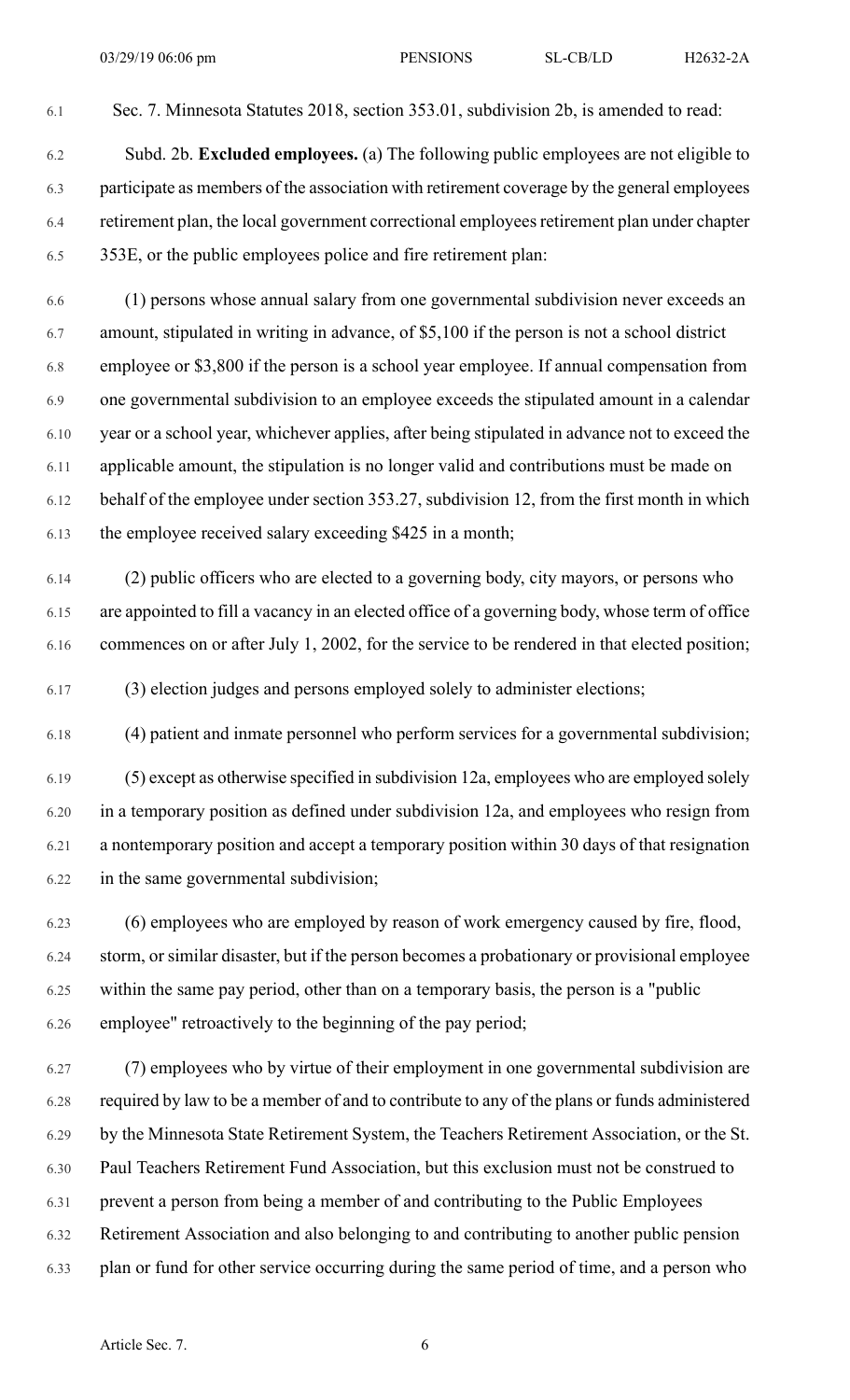6.1 Sec. 7. Minnesota Statutes 2018, section 353.01, subdivision 2b, is amended to read:

6.2 Subd. 2b. **Excluded employees.** (a) The following public employees are not eligible to 6.3 participate as members of the association with retirement coverage by the general employees 6.4 retirement plan, the local government correctional employeesretirement plan under chapter 6.5 353E, or the public employees police and fire retirement plan:

6.6 (1) persons whose annual salary from one governmental subdivision never exceeds an 6.7 amount, stipulated in writing in advance, of \$5,100 if the person is not a school district 6.8 employee or \$3,800 if the person is a school year employee. If annual compensation from 6.9 one governmental subdivision to an employee exceeds the stipulated amount in a calendar 6.10 year or a school year, whichever applies, after being stipulated in advance not to exceed the 6.11 applicable amount, the stipulation is no longer valid and contributions must be made on 6.12 behalf of the employee under section 353.27, subdivision 12, from the first month in which 6.13 the employee received salary exceeding \$425 in a month;

6.14 (2) public officers who are elected to a governing body, city mayors, or persons who 6.15 are appointed to fill a vacancy in an elected office of a governing body, whose term of office 6.16 commences on or after July 1, 2002, for the service to be rendered in that elected position;

6.17 (3) election judges and persons employed solely to administer elections;

6.18 (4) patient and inmate personnel who perform services for a governmental subdivision;

6.19 (5) except as otherwise specified in subdivision 12a, employees who are employed solely 6.20 in a temporary position as defined under subdivision 12a, and employees who resign from 6.21 a nontemporary position and accept a temporary position within 30 days of that resignation 6.22 in the same governmental subdivision;

6.23 (6) employees who are employed by reason of work emergency caused by fire, flood, 6.24 storm, or similar disaster, but if the person becomes a probationary or provisional employee 6.25 within the same pay period, other than on a temporary basis, the person is a "public 6.26 employee" retroactively to the beginning of the pay period;

6.27 (7) employees who by virtue of their employment in one governmental subdivision are 6.28 required by law to be a member of and to contribute to any of the plans or funds administered 6.29 by the Minnesota State Retirement System, the Teachers Retirement Association, or the St. 6.30 Paul Teachers Retirement Fund Association, but this exclusion must not be construed to 6.31 prevent a person from being a member of and contributing to the Public Employees 6.32 Retirement Association and also belonging to and contributing to another public pension 6.33 plan or fund for other service occurring during the same period of time, and a person who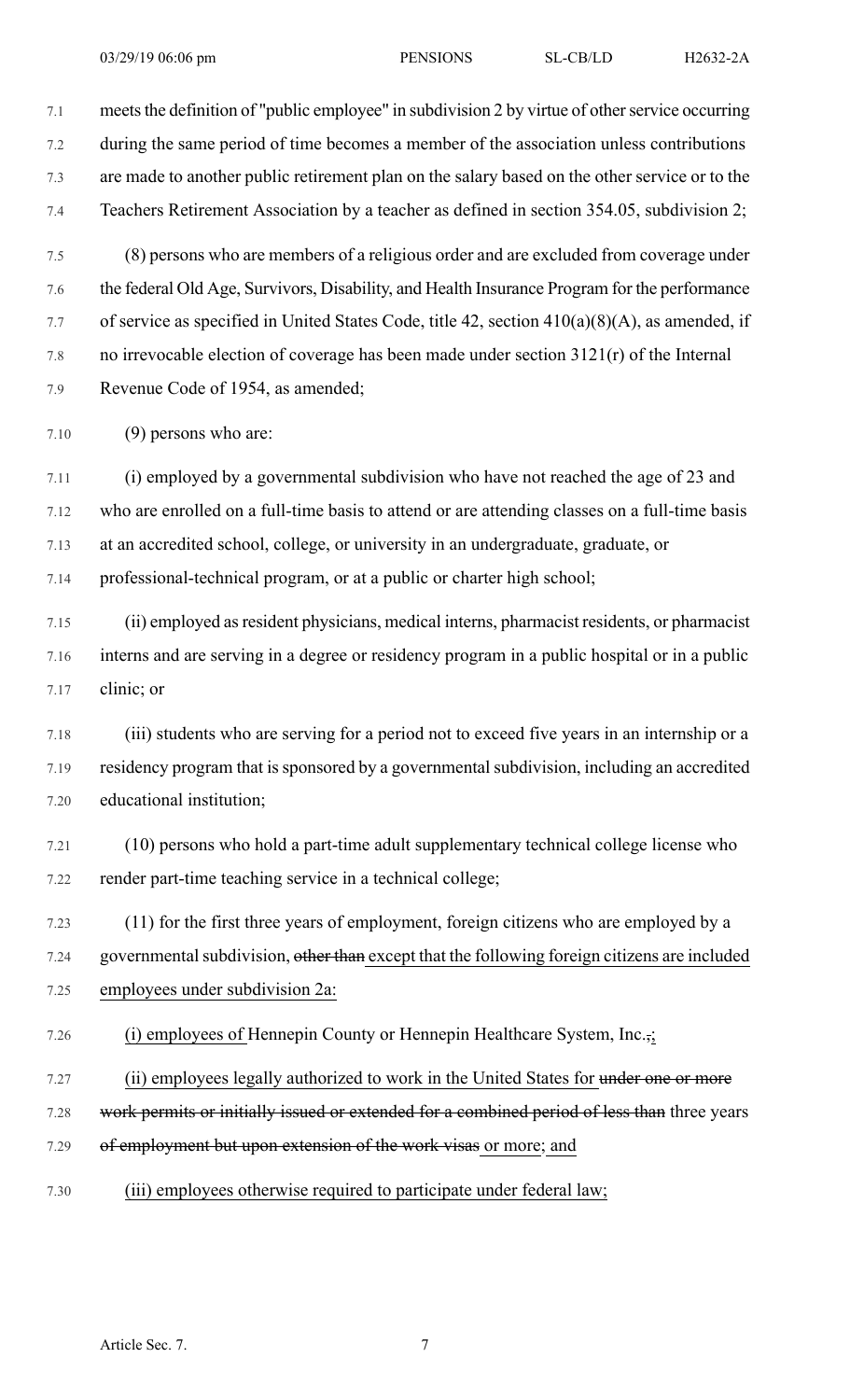7.1 meets the definition of "public employee" in subdivision 2 by virtue of other service occurring 7.2 during the same period of time becomes a member of the association unless contributions 7.3 are made to another public retirement plan on the salary based on the other service or to the 7.4 Teachers Retirement Association by a teacher as defined in section 354.05, subdivision 2; 7.5 (8) persons who are members of a religious order and are excluded from coverage under 7.6 the federal Old Age, Survivors, Disability, and Health Insurance Program for the performance 7.7 of service as specified in United States Code, title 42, section 410(a)(8)(A), as amended, if 7.8 no irrevocable election of coverage has been made under section 3121(r) of the Internal 7.9 Revenue Code of 1954, as amended;

7.10 (9) persons who are:

7.11 (i) employed by a governmental subdivision who have not reached the age of 23 and 7.12 who are enrolled on a full-time basis to attend or are attending classes on a full-time basis 7.13 at an accredited school, college, or university in an undergraduate, graduate, or 7.14 professional-technical program, or at a public or charter high school;

7.15 (ii) employed asresident physicians, medical interns, pharmacist residents, or pharmacist 7.16 interns and are serving in a degree or residency program in a public hospital or in a public 7.17 clinic; or

7.18 (iii) students who are serving for a period not to exceed five years in an internship or a 7.19 residency program that is sponsored by a governmental subdivision, including an accredited 7.20 educational institution;

7.21 (10) persons who hold a part-time adult supplementary technical college license who 7.22 render part-time teaching service in a technical college;

7.23 (11) for the first three years of employment, foreign citizens who are employed by a 7.24 governmental subdivision, other than except that the following foreign citizens are included 7.25 employees under subdivision 2a:

7.26 (i) employees of Hennepin County or Hennepin Healthcare System, Inc.,;

7.27 (ii) employees legally authorized to work in the United States for under one or more

7.28 work permits or initially issued or extended for a combined period of less than three years

- 7.29 of employment but upon extension of the work visas or more; and
- 7.30 (iii) employees otherwise required to participate under federal law;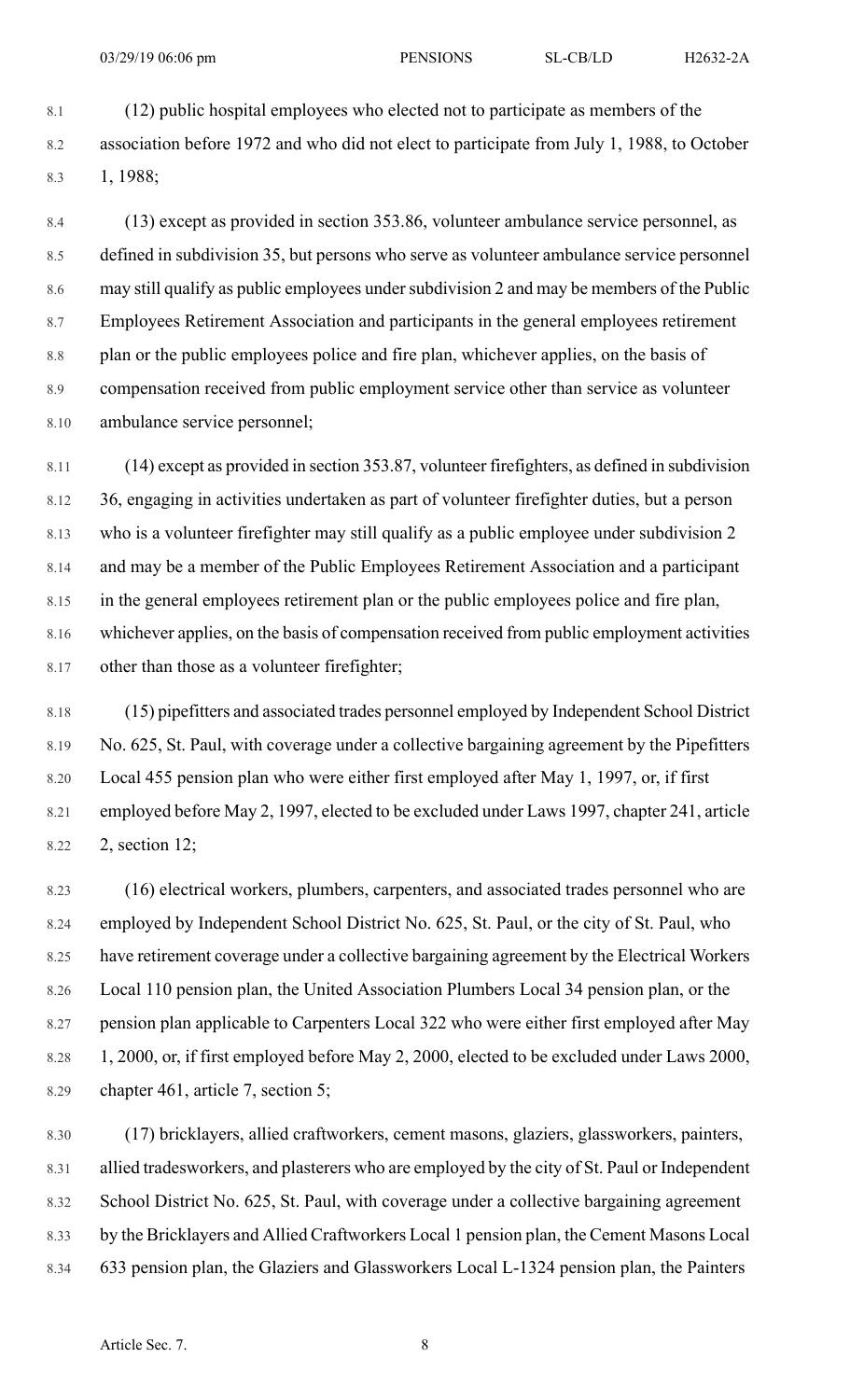8.1 (12) public hospital employees who elected not to participate as members of the 8.2 association before 1972 and who did not elect to participate from July 1, 1988, to October 8.3 1, 1988;

8.4 (13) except as provided in section 353.86, volunteer ambulance service personnel, as 8.5 defined in subdivision 35, but persons who serve as volunteer ambulance service personnel 8.6 may still qualify as public employees under subdivision 2 and may be members of the Public 8.7 Employees Retirement Association and participants in the general employees retirement 8.8 plan or the public employees police and fire plan, whichever applies, on the basis of 8.9 compensation received from public employment service other than service as volunteer 8.10 ambulance service personnel;

8.11 (14) except as provided in section 353.87, volunteer firefighters, as defined in subdivision 8.12 36, engaging in activities undertaken as part of volunteer firefighter duties, but a person 8.13 who is a volunteer firefighter may still qualify as a public employee under subdivision 2 8.14 and may be a member of the Public Employees Retirement Association and a participant 8.15 in the general employees retirement plan or the public employees police and fire plan, 8.16 whichever applies, on the basis of compensation received from public employment activities 8.17 other than those as a volunteer firefighter;

8.18 (15) pipefitters and associated trades personnel employed by Independent School District 8.19 No. 625, St. Paul, with coverage under a collective bargaining agreement by the Pipefitters 8.20 Local 455 pension plan who were either first employed after May 1, 1997, or, if first 8.21 employed before May 2, 1997, elected to be excluded under Laws 1997, chapter 241, article 8.22 2, section 12;

8.23 (16) electrical workers, plumbers, carpenters, and associated trades personnel who are 8.24 employed by Independent School District No. 625, St. Paul, or the city of St. Paul, who 8.25 have retirement coverage under a collective bargaining agreement by the Electrical Workers 8.26 Local 110 pension plan, the United Association Plumbers Local 34 pension plan, or the 8.27 pension plan applicable to Carpenters Local 322 who were either first employed after May 8.28 1, 2000, or, if first employed before May 2, 2000, elected to be excluded under Laws 2000, 8.29 chapter 461, article 7, section 5;

8.30 (17) bricklayers, allied craftworkers, cement masons, glaziers, glassworkers, painters, 8.31 allied tradesworkers, and plasterers who are employed by the city of St. Paul or Independent 8.32 School District No. 625, St. Paul, with coverage under a collective bargaining agreement 8.33 by the Bricklayers and Allied Craftworkers Local 1 pension plan, the Cement Masons Local 8.34 633 pension plan, the Glaziers and Glassworkers Local L-1324 pension plan, the Painters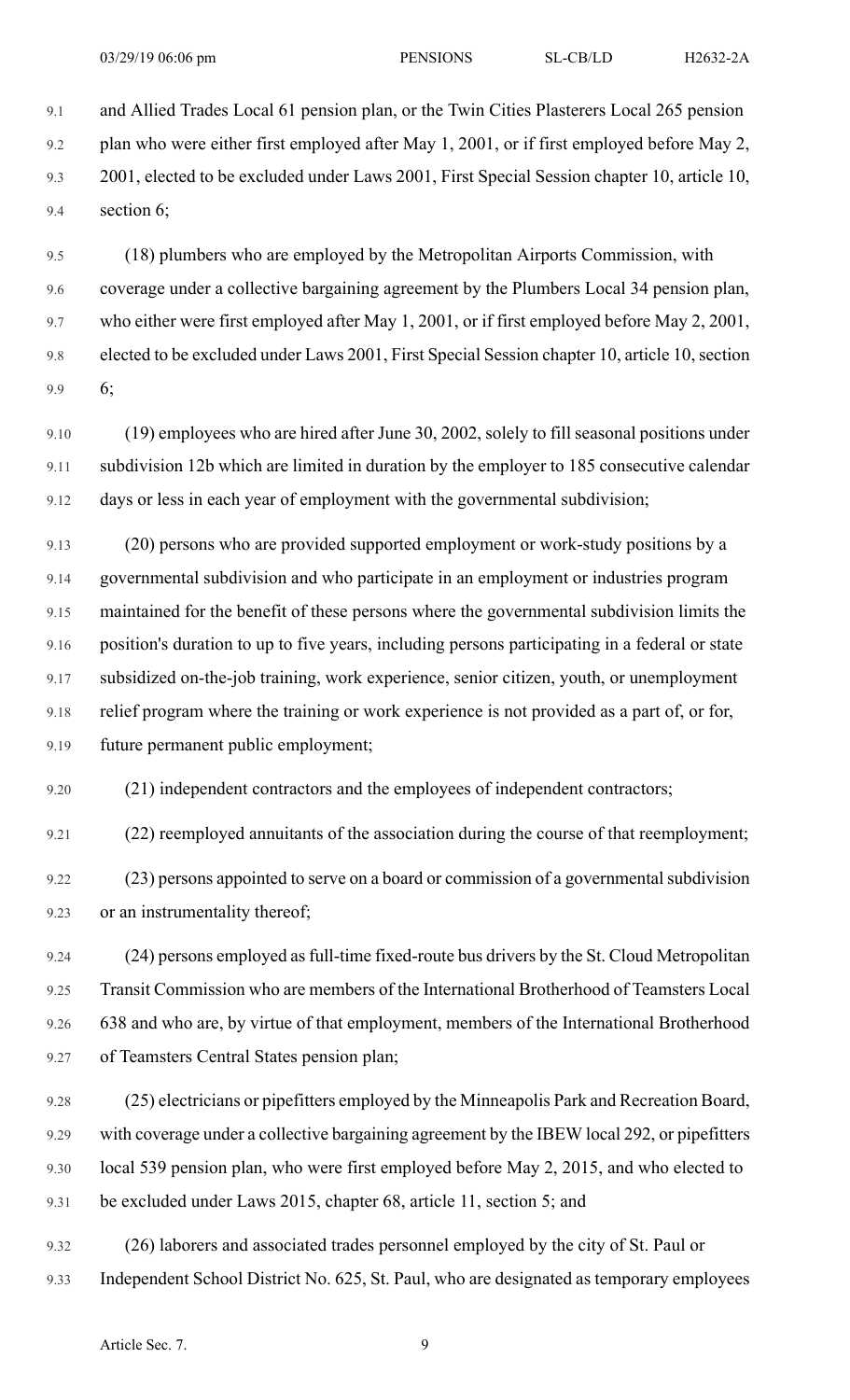9.1 and Allied Trades Local 61 pension plan, or the Twin Cities Plasterers Local 265 pension 9.2 plan who were either first employed after May 1, 2001, or if first employed before May 2, 9.3 2001, elected to be excluded under Laws 2001, First Special Session chapter 10, article 10, 9.4 section 6;

9.5 (18) plumbers who are employed by the Metropolitan Airports Commission, with 9.6 coverage under a collective bargaining agreement by the Plumbers Local 34 pension plan, 9.7 who either were first employed after May 1, 2001, or if first employed before May 2, 2001, 9.8 elected to be excluded under Laws 2001, First Special Session chapter 10, article 10, section 9.9 6;

9.10 (19) employees who are hired after June 30, 2002, solely to fill seasonal positions under 9.11 subdivision 12b which are limited in duration by the employer to 185 consecutive calendar 9.12 days or less in each year of employment with the governmental subdivision;

9.13 (20) persons who are provided supported employment or work-study positions by a 9.14 governmental subdivision and who participate in an employment or industries program 9.15 maintained for the benefit of these persons where the governmental subdivision limits the 9.16 position's duration to up to five years, including persons participating in a federal or state 9.17 subsidized on-the-job training, work experience, senior citizen, youth, or unemployment 9.18 relief program where the training or work experience is not provided as a part of, or for, 9.19 future permanent public employment;

9.20 (21) independent contractors and the employees of independent contractors;

9.21 (22) reemployed annuitants of the association during the course of that reemployment;

9.22 (23) persons appointed to serve on a board or commission of a governmental subdivision 9.23 or an instrumentality thereof;

9.24 (24) persons employed asfull-time fixed-route bus drivers by the St. Cloud Metropolitan 9.25 Transit Commission who are members of the International Brotherhood of Teamsters Local 9.26 638 and who are, by virtue of that employment, members of the International Brotherhood 9.27 of Teamsters Central States pension plan;

9.28 (25) electricians or pipefitters employed by the Minneapolis Park and Recreation Board, 9.29 with coverage under a collective bargaining agreement by the IBEW local 292, or pipefitters 9.30 local 539 pension plan, who were first employed before May 2, 2015, and who elected to 9.31 be excluded under Laws 2015, chapter 68, article 11, section 5; and

9.32 (26) laborers and associated trades personnel employed by the city of St. Paul or 9.33 Independent School District No. 625, St. Paul, who are designated as temporary employees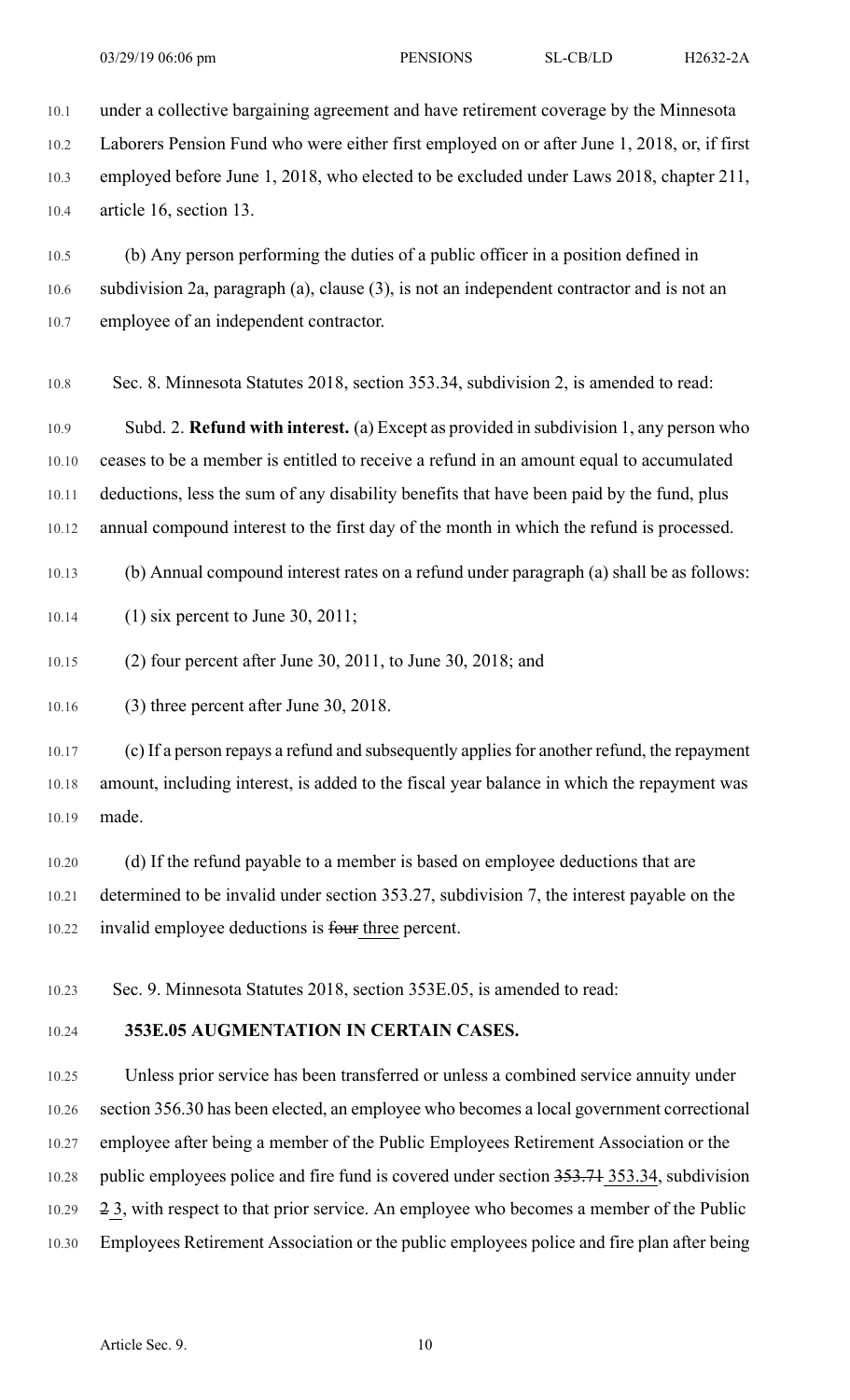10.1 under a collective bargaining agreement and have retirement coverage by the Minnesota 10.2 Laborers Pension Fund who were either first employed on or after June 1, 2018, or, if first 10.3 employed before June 1, 2018, who elected to be excluded under Laws 2018, chapter 211, 10.4 article 16, section 13.

10.5 (b) Any person performing the duties of a public officer in a position defined in 10.6 subdivision 2a, paragraph (a), clause (3), is not an independent contractor and is not an 10.7 employee of an independent contractor.

10.8 Sec. 8. Minnesota Statutes 2018, section 353.34, subdivision 2, is amended to read:

10.9 Subd. 2. **Refund with interest.** (a) Except as provided in subdivision 1, any person who 10.10 ceases to be a member is entitled to receive a refund in an amount equal to accumulated 10.11 deductions, less the sum of any disability benefits that have been paid by the fund, plus 10.12 annual compound interest to the first day of the month in which the refund is processed.

10.13 (b) Annual compound interest rates on a refund under paragraph (a) shall be as follows:

10.14 (1) six percent to June 30, 2011;

10.15 (2) four percent after June 30, 2011, to June 30, 2018; and

10.16 (3) three percent after June 30, 2018.

10.17 (c) If a person repays a refund and subsequently appliesfor another refund, the repayment 10.18 amount, including interest, is added to the fiscal year balance in which the repayment was 10.19 made.

10.20 (d) If the refund payable to a member is based on employee deductions that are 10.21 determined to be invalid under section 353.27, subdivision 7, the interest payable on the 10.22 invalid employee deductions is four three percent.

10.23 Sec. 9. Minnesota Statutes 2018, section 353E.05, is amended to read:

## 10.24 **353E.05 AUGMENTATION IN CERTAIN CASES.**

10.25 Unless prior service has been transferred or unless a combined service annuity under 10.26 section 356.30 has been elected, an employee who becomes a local government correctional 10.27 employee after being a member of the Public Employees Retirement Association or the 10.28 public employees police and fire fund is covered under section 353.71 353.34, subdivision 10.29 2 3, with respect to that prior service. An employee who becomes a member of the Public 10.30 Employees Retirement Association or the public employees police and fire plan after being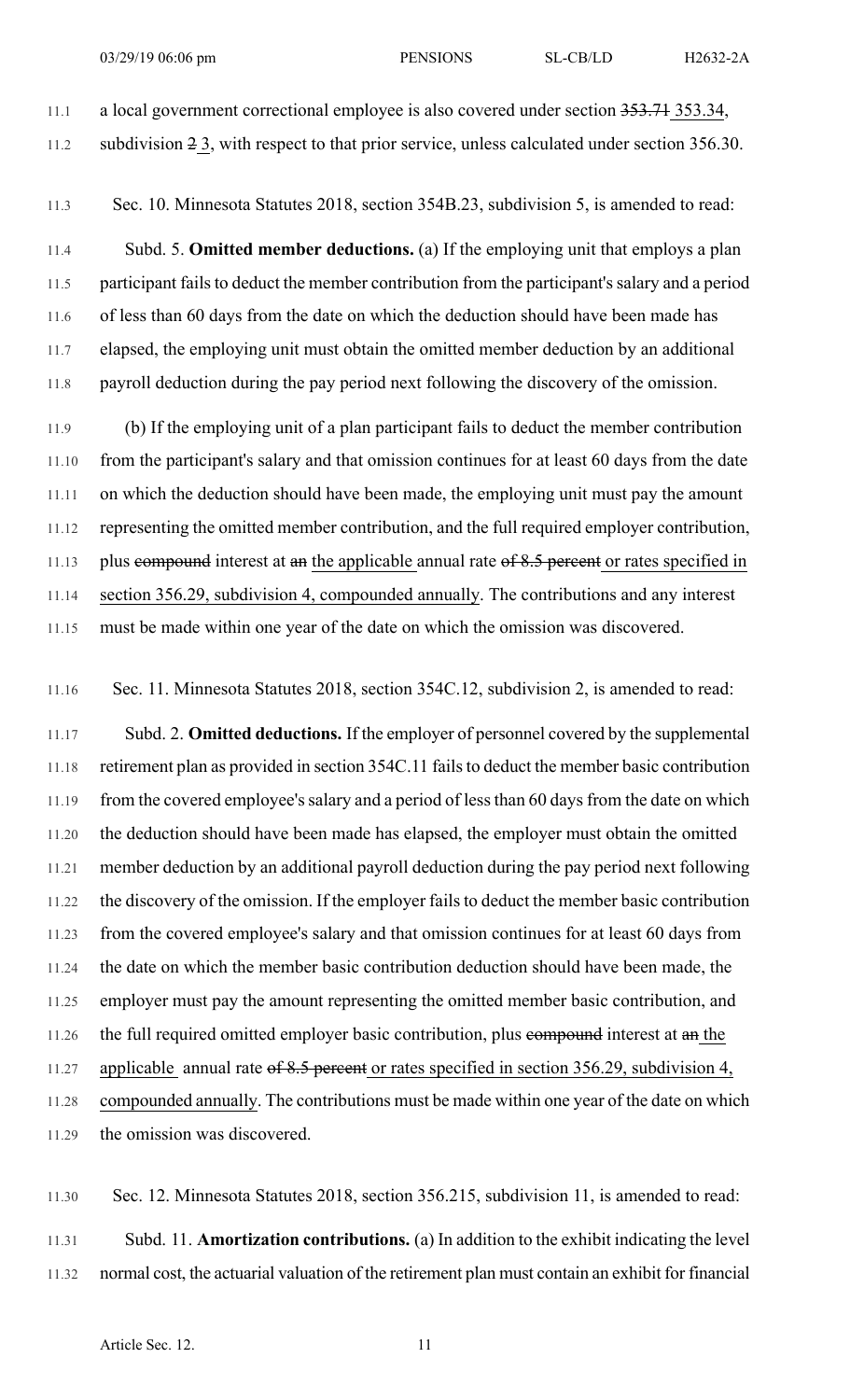11.1 a local government correctional employee is also covered under section 353.71 353.34, 11.2 subdivision 2 3, with respect to that prior service, unless calculated under section 356.30.

11.3 Sec. 10. Minnesota Statutes 2018, section 354B.23, subdivision 5, is amended to read:

11.4 Subd. 5. **Omitted member deductions.** (a) If the employing unit that employs a plan 11.5 participant fails to deduct the member contribution from the participant's salary and a period 11.6 of less than 60 days from the date on which the deduction should have been made has 11.7 elapsed, the employing unit must obtain the omitted member deduction by an additional 11.8 payroll deduction during the pay period next following the discovery of the omission.

11.9 (b) If the employing unit of a plan participant fails to deduct the member contribution 11.10 from the participant's salary and that omission continues for at least 60 days from the date 11.11 on which the deduction should have been made, the employing unit must pay the amount 11.12 representing the omitted member contribution, and the full required employer contribution, 11.13 plus compound interest at an the applicable annual rate of 8.5 percent or rates specified in 11.14 section 356.29, subdivision 4, compounded annually. The contributions and any interest 11.15 must be made within one year of the date on which the omission was discovered.

11.16 Sec. 11. Minnesota Statutes 2018, section 354C.12, subdivision 2, is amended to read:

11.17 Subd. 2. **Omitted deductions.** If the employer of personnel covered by the supplemental 11.18 retirement plan as provided in section 354C.11 failsto deduct the member basic contribution 11.19 from the covered employee's salary and a period of less than 60 days from the date on which 11.20 the deduction should have been made has elapsed, the employer must obtain the omitted 11.21 member deduction by an additional payroll deduction during the pay period next following 11.22 the discovery of the omission. If the employer fails to deduct the member basic contribution 11.23 from the covered employee's salary and that omission continues for at least 60 days from 11.24 the date on which the member basic contribution deduction should have been made, the 11.25 employer must pay the amount representing the omitted member basic contribution, and 11.26 the full required omitted employer basic contribution, plus compound interest at an the 11.27 applicable annual rate  $\theta$  6.5 percent or rates specified in section 356.29, subdivision 4, 11.28 compounded annually. The contributions must be made within one year of the date on which 11.29 the omission was discovered.

11.30 Sec. 12. Minnesota Statutes 2018, section 356.215, subdivision 11, is amended to read:

11.31 Subd. 11. **Amortization contributions.** (a) In addition to the exhibit indicating the level 11.32 normal cost, the actuarial valuation of the retirement plan must contain an exhibit for financial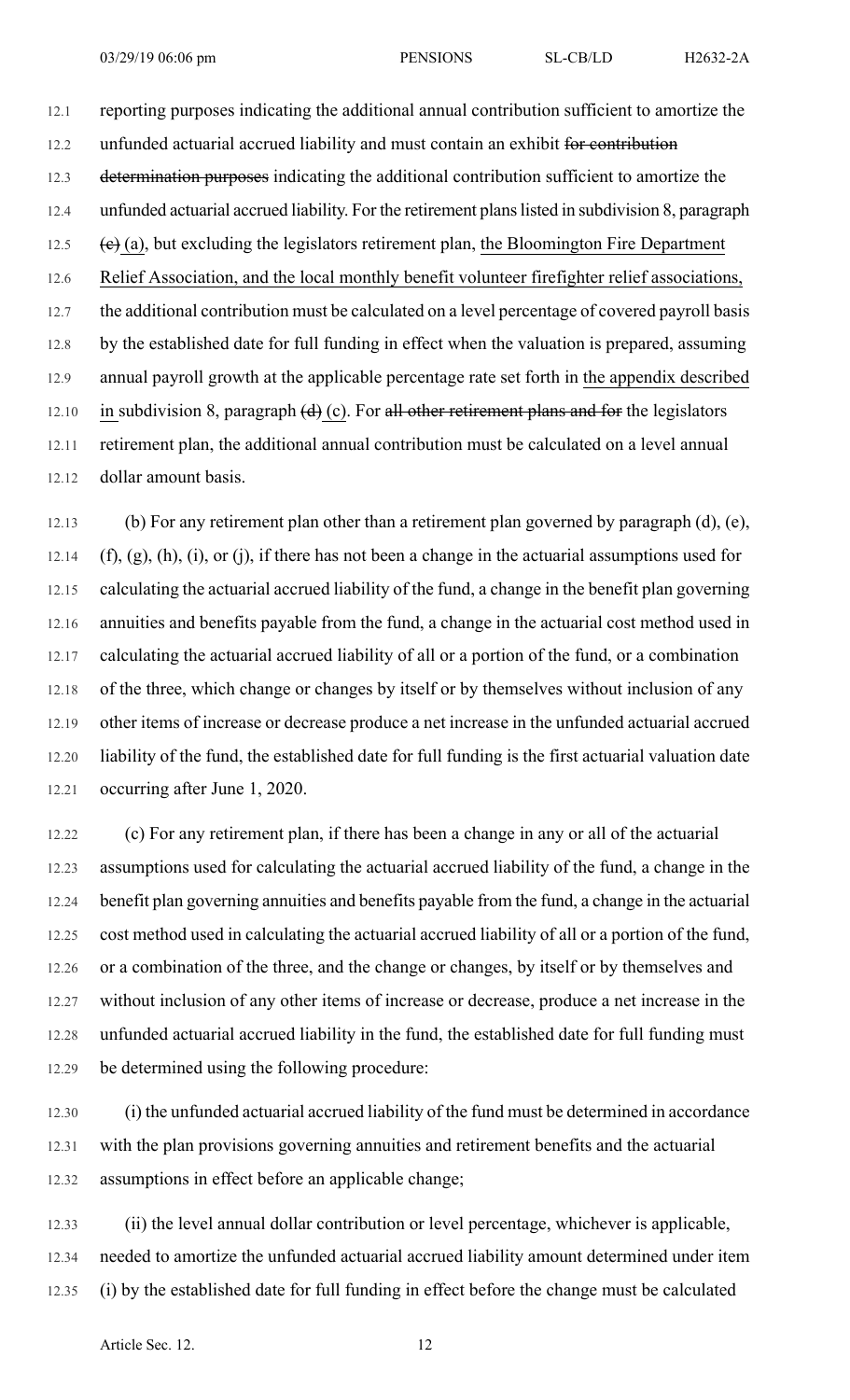12.1 reporting purposes indicating the additional annual contribution sufficient to amortize the 12.2 unfunded actuarial accrued liability and must contain an exhibit for contribution 12.3 determination purposes indicating the additional contribution sufficient to amortize the 12.4 unfunded actuarial accrued liability. For the retirement plans listed in subdivision 8, paragraph 12.5  $\leftrightarrow$  (e) (a), but excluding the legislators retirement plan, the Bloomington Fire Department 12.6 Relief Association, and the local monthly benefit volunteer firefighter relief associations, 12.7 the additional contribution must be calculated on a level percentage of covered payroll basis 12.8 by the established date for full funding in effect when the valuation is prepared, assuming 12.9 annual payroll growth at the applicable percentage rate set forth in the appendix described 12.10 in subdivision 8, paragraph  $(d)$  (c). For all other retirement plans and for the legislators 12.11 retirement plan, the additional annual contribution must be calculated on a level annual 12.12 dollar amount basis.

12.13 (b) For any retirement plan other than a retirement plan governed by paragraph (d), (e), 12.14  $(f)$ ,  $(g)$ ,  $(h)$ ,  $(i)$ ,  $o$ r $(j)$ , if there has not been a change in the actuarial assumptions used for 12.15 calculating the actuarial accrued liability of the fund, a change in the benefit plan governing 12.16 annuities and benefits payable from the fund, a change in the actuarial cost method used in 12.17 calculating the actuarial accrued liability of all or a portion of the fund, or a combination 12.18 of the three, which change or changes by itself or by themselves without inclusion of any 12.19 other items of increase or decrease produce a net increase in the unfunded actuarial accrued 12.20 liability of the fund, the established date for full funding is the first actuarial valuation date 12.21 occurring after June 1, 2020.

12.22 (c) For any retirement plan, if there has been a change in any or all of the actuarial 12.23 assumptions used for calculating the actuarial accrued liability of the fund, a change in the 12.24 benefit plan governing annuities and benefits payable from the fund, a change in the actuarial 12.25 cost method used in calculating the actuarial accrued liability of all or a portion of the fund, 12.26 or a combination of the three, and the change or changes, by itself or by themselves and 12.27 without inclusion of any other items of increase or decrease, produce a net increase in the 12.28 unfunded actuarial accrued liability in the fund, the established date for full funding must 12.29 be determined using the following procedure:

12.30 (i) the unfunded actuarial accrued liability of the fund must be determined in accordance 12.31 with the plan provisions governing annuities and retirement benefits and the actuarial 12.32 assumptions in effect before an applicable change;

12.33 (ii) the level annual dollar contribution or level percentage, whichever is applicable, 12.34 needed to amortize the unfunded actuarial accrued liability amount determined under item 12.35 (i) by the established date for full funding in effect before the change must be calculated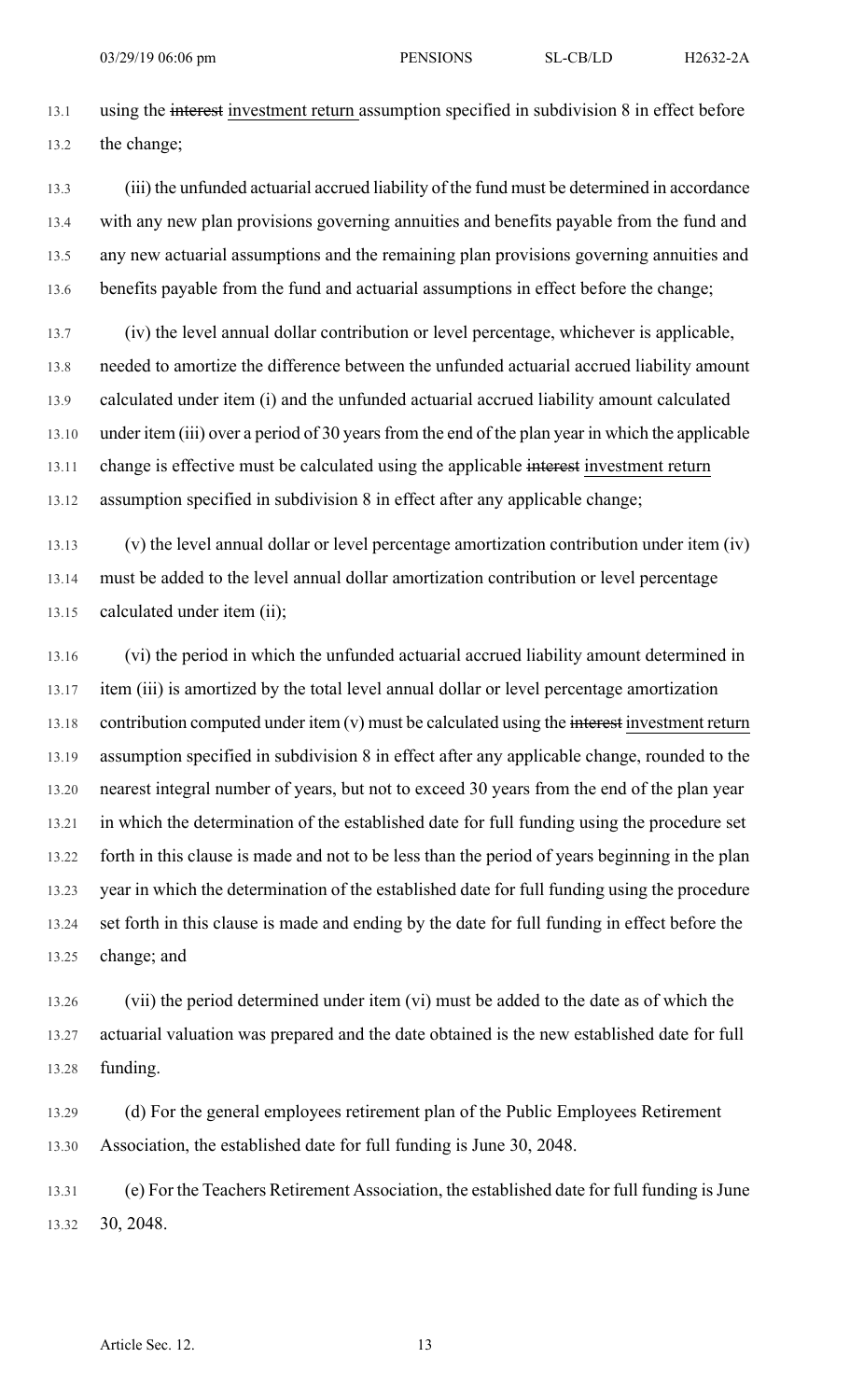13.1 using the interest investment return assumption specified in subdivision 8 in effect before 13.2 the change;

13.3 (iii) the unfunded actuarial accrued liability of the fund must be determined in accordance 13.4 with any new plan provisions governing annuities and benefits payable from the fund and 13.5 any new actuarial assumptions and the remaining plan provisions governing annuities and 13.6 benefits payable from the fund and actuarial assumptions in effect before the change;

13.7 (iv) the level annual dollar contribution or level percentage, whichever is applicable, 13.8 needed to amortize the difference between the unfunded actuarial accrued liability amount 13.9 calculated under item (i) and the unfunded actuarial accrued liability amount calculated 13.10 under item (iii) over a period of 30 years from the end of the plan year in which the applicable 13.11 change is effective must be calculated using the applicable interest investment return 13.12 assumption specified in subdivision 8 in effect after any applicable change;

13.13 (v) the level annual dollar or level percentage amortization contribution under item (iv) 13.14 must be added to the level annual dollar amortization contribution or level percentage 13.15 calculated under item (ii);

13.16 (vi) the period in which the unfunded actuarial accrued liability amount determined in 13.17 item (iii) is amortized by the total level annual dollar or level percentage amortization 13.18 contribution computed under item (v) must be calculated using the interest investment return 13.19 assumption specified in subdivision 8 in effect after any applicable change, rounded to the 13.20 nearest integral number of years, but not to exceed 30 years from the end of the plan year 13.21 in which the determination of the established date for full funding using the procedure set 13.22 forth in this clause is made and not to be less than the period of years beginning in the plan 13.23 year in which the determination of the established date for full funding using the procedure 13.24 set forth in this clause is made and ending by the date for full funding in effect before the 13.25 change; and

13.26 (vii) the period determined under item (vi) must be added to the date as of which the 13.27 actuarial valuation was prepared and the date obtained is the new established date for full 13.28 funding.

13.29 (d) For the general employees retirement plan of the Public Employees Retirement 13.30 Association, the established date for full funding is June 30, 2048.

13.31 (e) For the Teachers Retirement Association, the established date for full funding isJune 13.32 30, 2048.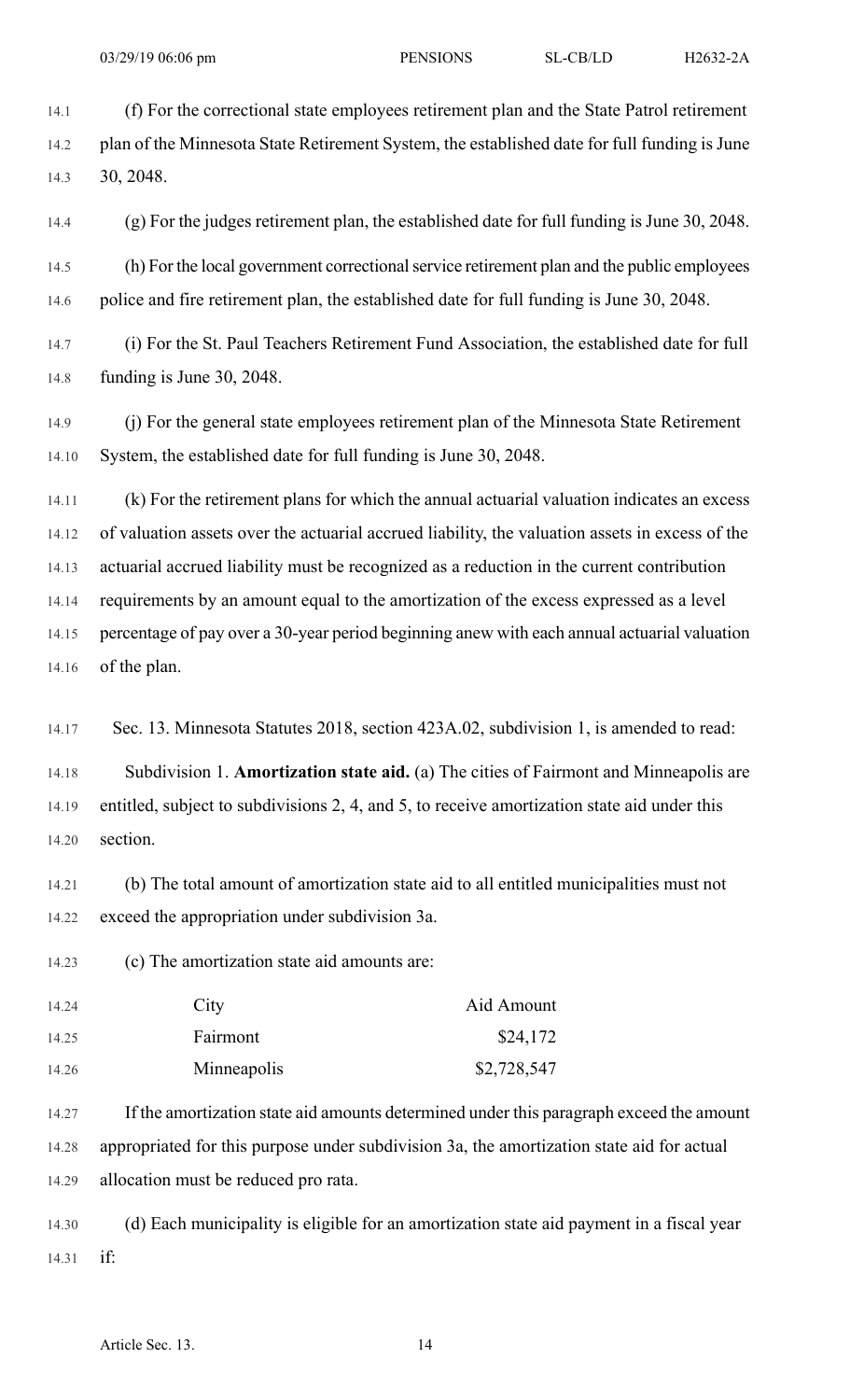14.1 (f) For the correctional state employees retirement plan and the State Patrol retirement 14.2 plan of the Minnesota State Retirement System, the established date for full funding is June 14.3 30, 2048.

14.4 (g) For the judges retirement plan, the established date for full funding is June 30, 2048.

14.5 (h) For the local government correctionalservice retirement plan and the public employees 14.6 police and fire retirement plan, the established date for full funding is June 30, 2048.

14.7 (i) For the St. Paul Teachers Retirement Fund Association, the established date for full 14.8 funding is June 30, 2048.

14.9 (j) For the general state employees retirement plan of the Minnesota State Retirement 14.10 System, the established date for full funding is June 30, 2048.

14.11 (k) For the retirement plans for which the annual actuarial valuation indicates an excess 14.12 of valuation assets over the actuarial accrued liability, the valuation assets in excess of the 14.13 actuarial accrued liability must be recognized as a reduction in the current contribution 14.14 requirements by an amount equal to the amortization of the excess expressed as a level 14.15 percentage of pay over a 30-year period beginning anew with each annual actuarial valuation 14.16 of the plan.

14.17 Sec. 13. Minnesota Statutes 2018, section 423A.02, subdivision 1, is amended to read:

14.18 Subdivision 1. **Amortization state aid.** (a) The cities of Fairmont and Minneapolis are 14.19 entitled, subject to subdivisions 2, 4, and 5, to receive amortization state aid under this 14.20 section.

14.21 (b) The total amount of amortization state aid to all entitled municipalities must not 14.22 exceed the appropriation under subdivision 3a.

14.23 (c) The amortization state aid amounts are:

| 14.24 | City        | Aid Amount  |
|-------|-------------|-------------|
| 14.25 | Fairmont    | \$24,172    |
| 14.26 | Minneapolis | \$2,728,547 |

14.27 If the amortization state aid amounts determined under this paragraph exceed the amount 14.28 appropriated for this purpose under subdivision 3a, the amortization state aid for actual 14.29 allocation must be reduced pro rata.

14.30 (d) Each municipality is eligible for an amortization state aid payment in a fiscal year 14.31 if: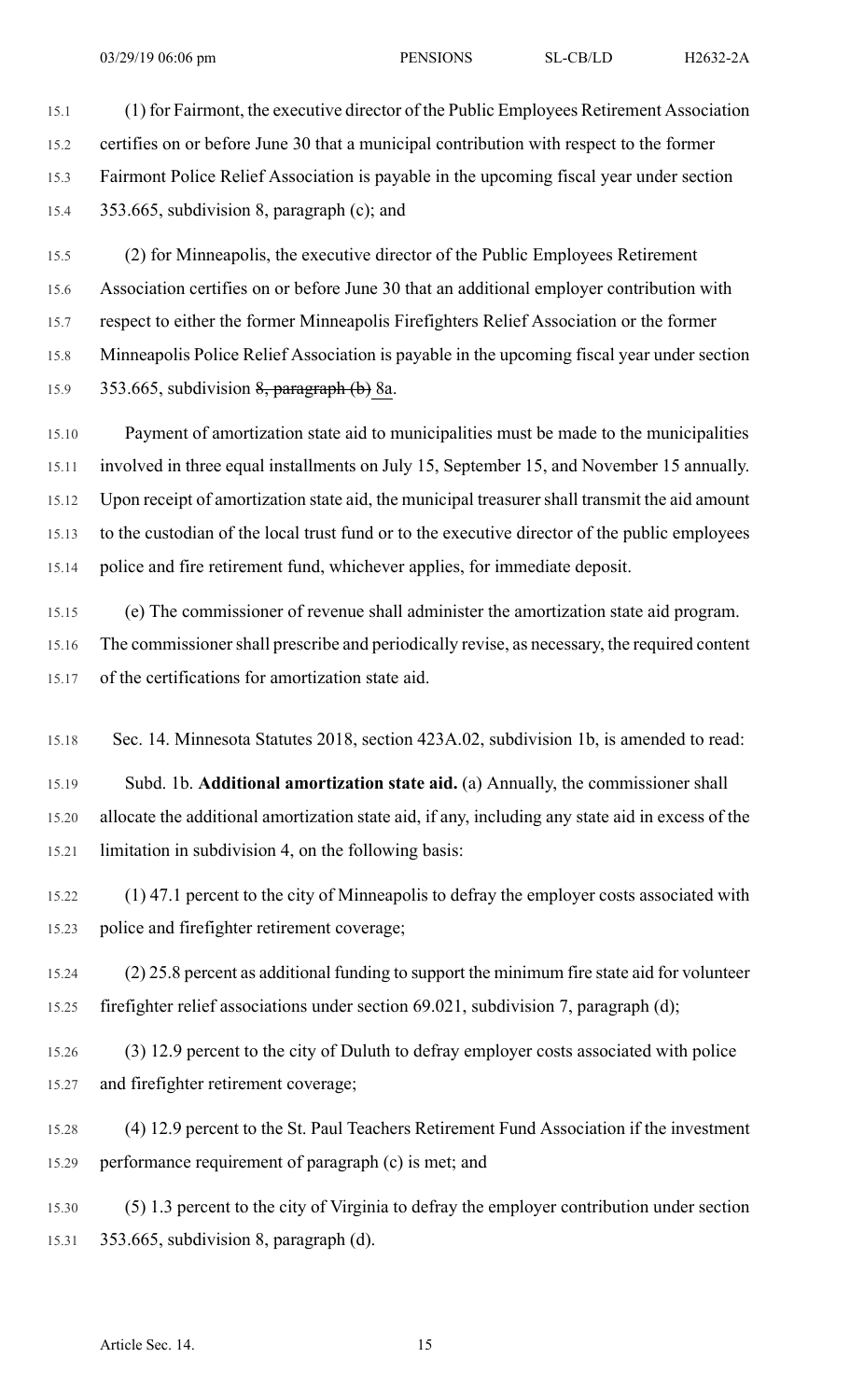15.1 (1) for Fairmont, the executive director of the Public Employees Retirement Association 15.2 certifies on or before June 30 that a municipal contribution with respect to the former 15.3 Fairmont Police Relief Association is payable in the upcoming fiscal year under section 15.4 353.665, subdivision 8, paragraph (c); and

15.5 (2) for Minneapolis, the executive director of the Public Employees Retirement 15.6 Association certifies on or before June 30 that an additional employer contribution with 15.7 respect to either the former Minneapolis Firefighters Relief Association or the former 15.8 Minneapolis Police Relief Association is payable in the upcoming fiscal year under section 15.9 353.665, subdivision 8, paragraph (b) 8a.

15.10 Payment of amortization state aid to municipalities must be made to the municipalities 15.11 involved in three equal installments on July 15, September 15, and November 15 annually. 15.12 Upon receipt of amortization state aid, the municipal treasurer shall transmit the aid amount 15.13 to the custodian of the local trust fund or to the executive director of the public employees 15.14 police and fire retirement fund, whichever applies, for immediate deposit.

15.15 (e) The commissioner of revenue shall administer the amortization state aid program. 15.16 The commissioner shall prescribe and periodically revise, as necessary, the required content 15.17 of the certifications for amortization state aid.

15.18 Sec. 14. Minnesota Statutes 2018, section 423A.02, subdivision 1b, is amended to read:

15.19 Subd. 1b. **Additional amortization state aid.** (a) Annually, the commissioner shall 15.20 allocate the additional amortization state aid, if any, including any state aid in excess of the 15.21 limitation in subdivision 4, on the following basis:

15.22 (1) 47.1 percent to the city of Minneapolis to defray the employer costs associated with 15.23 police and firefighter retirement coverage;

15.24 (2) 25.8 percent as additional funding to support the minimum fire state aid for volunteer 15.25 firefighter relief associations under section 69.021, subdivision 7, paragraph (d);

15.26 (3) 12.9 percent to the city of Duluth to defray employer costs associated with police 15.27 and firefighter retirement coverage;

15.28 (4) 12.9 percent to the St. Paul Teachers Retirement Fund Association if the investment 15.29 performance requirement of paragraph (c) is met; and

15.30 (5) 1.3 percent to the city of Virginia to defray the employer contribution under section 15.31 353.665, subdivision 8, paragraph (d).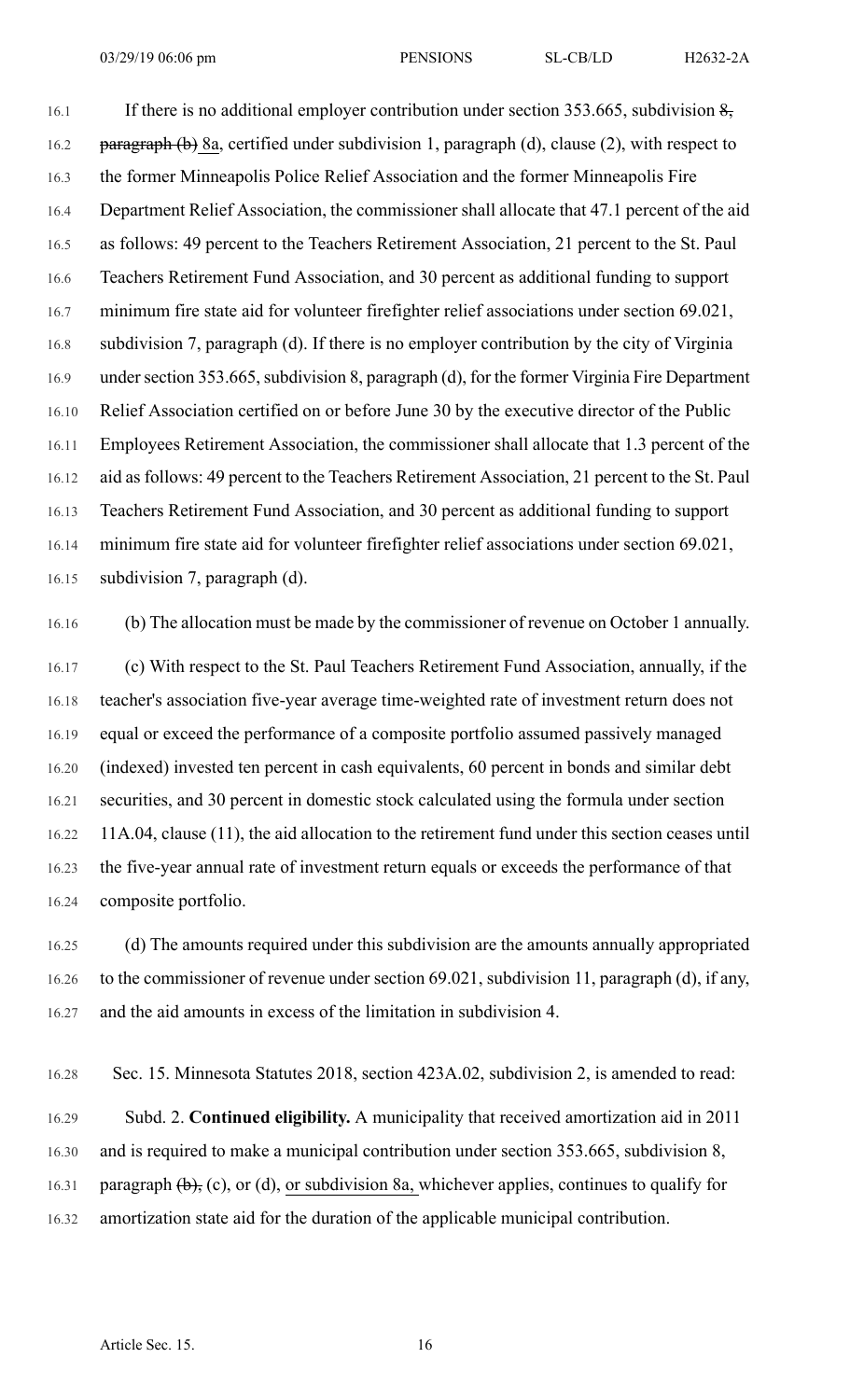16.1 If there is no additional employer contribution under section 353.665, subdivision  $\frac{8}{2}$ , 16.2 paragraph (b) 8a, certified under subdivision 1, paragraph (d), clause (2), with respect to 16.3 the former Minneapolis Police Relief Association and the former Minneapolis Fire 16.4 Department Relief Association, the commissioner shall allocate that 47.1 percent of the aid 16.5 as follows: 49 percent to the Teachers Retirement Association, 21 percent to the St. Paul 16.6 Teachers Retirement Fund Association, and 30 percent as additional funding to support 16.7 minimum fire state aid for volunteer firefighter relief associations under section 69.021, 16.8 subdivision 7, paragraph (d). If there is no employer contribution by the city of Virginia 16.9 under section 353.665, subdivision 8, paragraph (d), for the former Virginia Fire Department 16.10 Relief Association certified on or before June 30 by the executive director of the Public 16.11 Employees Retirement Association, the commissioner shall allocate that 1.3 percent of the 16.12 aid as follows: 49 percent to the Teachers Retirement Association, 21 percent to the St. Paul 16.13 Teachers Retirement Fund Association, and 30 percent as additional funding to support 16.14 minimum fire state aid for volunteer firefighter relief associations under section 69.021, 16.15 subdivision 7, paragraph (d).

16.16 (b) The allocation must be made by the commissioner of revenue on October 1 annually.

16.17 (c) With respect to the St. Paul Teachers Retirement Fund Association, annually, if the 16.18 teacher's association five-year average time-weighted rate of investment return does not 16.19 equal or exceed the performance of a composite portfolio assumed passively managed 16.20 (indexed) invested ten percent in cash equivalents, 60 percent in bonds and similar debt 16.21 securities, and 30 percent in domestic stock calculated using the formula under section 16.22 11A.04, clause (11), the aid allocation to the retirement fund under this section ceases until 16.23 the five-year annual rate of investment return equals or exceeds the performance of that 16.24 composite portfolio.

16.25 (d) The amounts required under this subdivision are the amounts annually appropriated 16.26 to the commissioner of revenue under section 69.021, subdivision 11, paragraph (d), if any, 16.27 and the aid amounts in excess of the limitation in subdivision 4.

16.28 Sec. 15. Minnesota Statutes 2018, section 423A.02, subdivision 2, is amended to read:

16.29 Subd. 2. **Continued eligibility.** A municipality that received amortization aid in 2011 16.30 and is required to make a municipal contribution under section 353.665, subdivision 8, 16.31 paragraph  $(\theta)$ , (c), or (d), or subdivision 8a, whichever applies, continues to qualify for 16.32 amortization state aid for the duration of the applicable municipal contribution.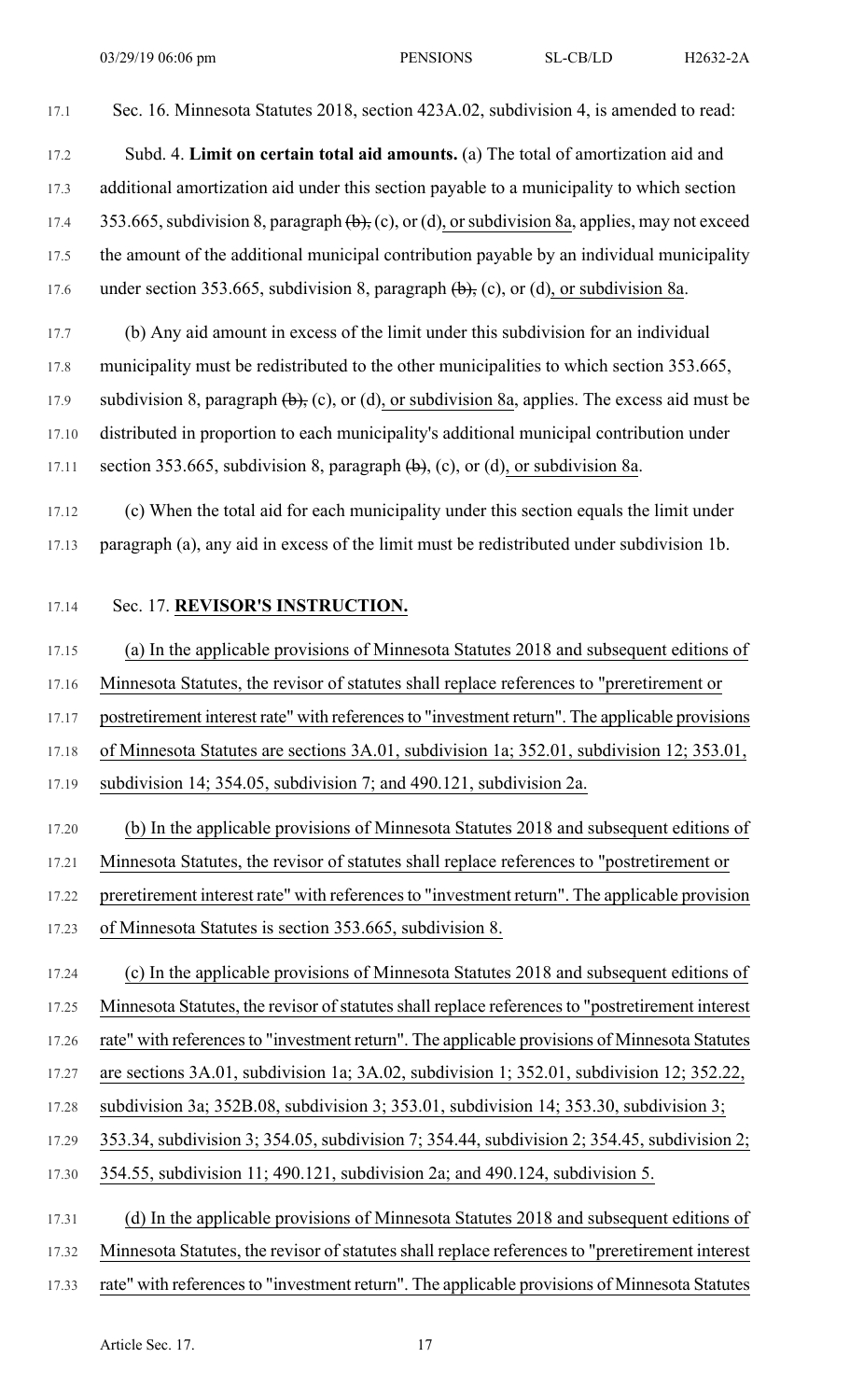17.1 Sec. 16. Minnesota Statutes 2018, section 423A.02, subdivision 4, is amended to read:

17.2 Subd. 4. **Limit on certain total aid amounts.** (a) The total of amortization aid and 17.3 additional amortization aid under this section payable to a municipality to which section 17.4 353.665, subdivision 8, paragraph  $(\theta)$ , (c), or (d), or subdivision 8a, applies, may not exceed 17.5 the amount of the additional municipal contribution payable by an individual municipality 17.6 under section 353.665, subdivision 8, paragraph  $(\theta)$ , (c), or (d), or subdivision 8a.

17.7 (b) Any aid amount in excess of the limit under this subdivision for an individual 17.8 municipality must be redistributed to the other municipalities to which section 353.665, 17.9 subdivision 8, paragraph  $(\theta)$ , (c), or (d), or subdivision 8a, applies. The excess aid must be 17.10 distributed in proportion to each municipality's additional municipal contribution under 17.11 section 353.665, subdivision 8, paragraph  $(\theta)$ , (c), or (d), or subdivision 8a.

17.12 (c) When the total aid for each municipality under this section equals the limit under 17.13 paragraph (a), any aid in excess of the limit must be redistributed under subdivision 1b.

## 17.14 Sec. 17. **REVISOR'S INSTRUCTION.**

17.15 (a) In the applicable provisions of Minnesota Statutes 2018 and subsequent editions of 17.16 Minnesota Statutes, the revisor of statutes shall replace references to "preretirement or 17.17 postretirement interest rate" with references to "investment return". The applicable provisions 17.18 of Minnesota Statutes are sections 3A.01, subdivision 1a; 352.01, subdivision 12; 353.01, 17.19 subdivision 14; 354.05, subdivision 7; and 490.121, subdivision 2a.

17.20 (b) In the applicable provisions of Minnesota Statutes 2018 and subsequent editions of 17.21 Minnesota Statutes, the revisor of statutes shall replace references to "postretirement or

17.22 preretirement interest rate" with references to "investment return". The applicable provision

17.23 of Minnesota Statutes is section 353.665, subdivision 8.

17.24 (c) In the applicable provisions of Minnesota Statutes 2018 and subsequent editions of 17.25 Minnesota Statutes, the revisor of statutes shall replace references to "postretirement interest" 17.26 rate" with referencesto "investment return". The applicable provisions of Minnesota Statutes 17.27 are sections 3A.01, subdivision 1a; 3A.02, subdivision 1; 352.01, subdivision 12; 352.22, 17.28 subdivision 3a; 352B.08, subdivision 3; 353.01, subdivision 14; 353.30, subdivision 3; 17.29 353.34, subdivision 3; 354.05, subdivision 7; 354.44, subdivision 2; 354.45, subdivision 2; 17.30 354.55, subdivision 11; 490.121, subdivision 2a; and 490.124, subdivision 5. 17.31 (d) In the applicable provisions of Minnesota Statutes 2018 and subsequent editions of

17.32 Minnesota Statutes, the revisor of statutes shall replace references to "preretirement interest

17.33 rate" with references to "investment return". The applicable provisions of Minnesota Statutes